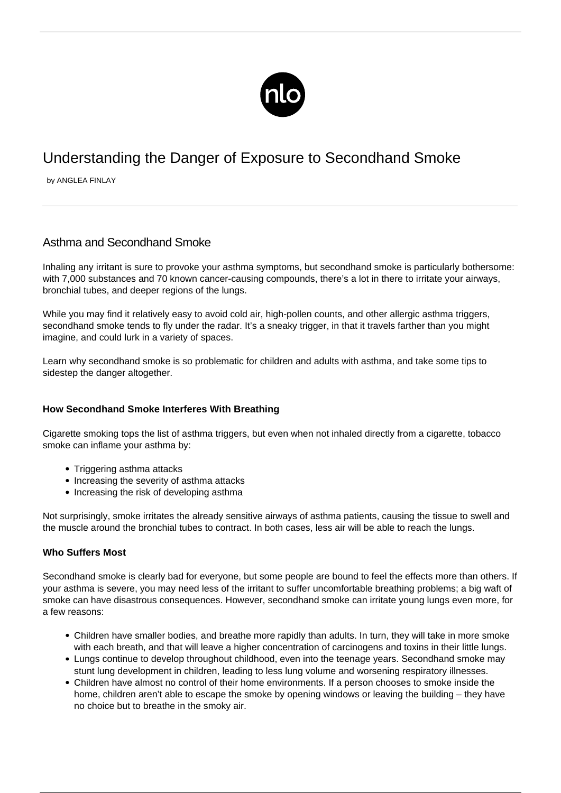

# Understanding the Danger of Exposure to Secondhand Smoke

by ANGLEA FINLAY

# Asthma and Secondhand Smoke

Inhaling any irritant is sure to provoke your asthma symptoms, but secondhand smoke is particularly bothersome: with 7,000 substances and 70 known cancer-causing compounds, there's a lot in there to irritate your airways, bronchial tubes, and deeper regions of the lungs.

While you may find it relatively easy to avoid cold air, high-pollen counts, and other allergic asthma triggers, secondhand smoke tends to fly under the radar. It's a sneaky trigger, in that it travels farther than you might imagine, and could lurk in a variety of spaces.

Learn why secondhand smoke is so problematic for children and adults with asthma, and take some tips to sidestep the danger altogether.

## **How Secondhand Smoke Interferes With Breathing**

Cigarette smoking tops the list of asthma triggers, but even when not inhaled directly from a cigarette, tobacco smoke can inflame your asthma by:

- Triggering [asthma attacks](/what-to-do-during-an-asthma-attack/)
- Increasing the severity of asthma attacks
- Increasing the risk of developing asthma

Not surprisingly, smoke irritates the already sensitive airways of asthma patients, causing the tissue to swell and the muscle around the bronchial tubes to contract. In both cases, less air will be able to reach the lungs.

## **Who Suffers Most**

Secondhand smoke is clearly bad for everyone, but some people are bound to feel the effects more than others. If your asthma is severe, you may need less of the irritant to suffer uncomfortable breathing problems; a big waft of smoke can have disastrous consequences. However, secondhand smoke can irritate young lungs even more, for a few reasons:

- Children have smaller bodies, and breathe more rapidly than adults. In turn, they will take in more smoke with each breath, and that will leave a higher concentration of carcinogens and toxins in their little lungs.
- Lungs continue to develop throughout childhood, even into the teenage years. Secondhand smoke may stunt lung development in children, leading to less lung volume and worsening respiratory illnesses.
- Children have almost no control of their home environments. If a person chooses to smoke inside the home, children aren't able to escape the smoke by opening windows or leaving the building – they have no choice but to breathe in the smoky air.